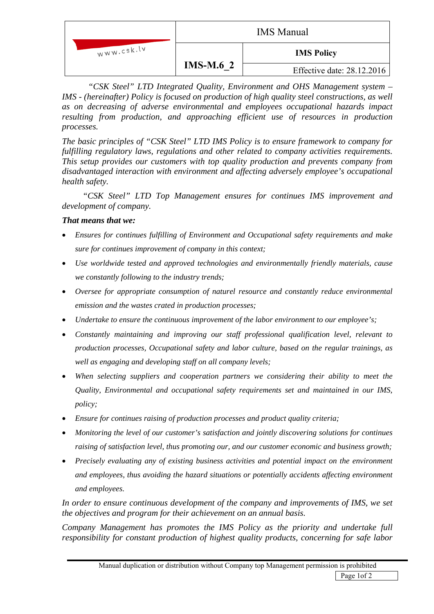|            | <b>IMS</b> Manual |                            |
|------------|-------------------|----------------------------|
| www.csk.lv |                   | <b>IMS Policy</b>          |
|            | <b>IMS-M.6 2</b>  | Effective date: 28.12.2016 |

 *"CSK Steel" LTD Integrated Quality, Environment and OHS Management system – IMS - (hereinafter) Policy is focused on production of high quality steel constructions, as well as on decreasing of adverse environmental and employees occupational hazards impact resulting from production, and approaching efficient use of resources in production processes.* 

*The basic principles of "CSK Steel" LTD IMS Policy is to ensure framework to company for fulfilling regulatory laws, regulations and other related to company activities requirements. This setup provides our customers with top quality production and prevents company from disadvantaged interaction with environment and affecting adversely employee's occupational health safety.* 

*"CSK Steel" LTD Top Management ensures for continues IMS improvement and development of company.* 

## *That means that we:*

- *Ensures for continues fulfilling of Environment and Occupational safety requirements and make sure for continues improvement of company in this context;*
- *Use worldwide tested and approved technologies and environmentally friendly materials, cause we constantly following to the industry trends;*
- *Oversee for appropriate consumption of naturel resource and constantly reduce environmental emission and the wastes crated in production processes;*
- *Undertake to ensure the continuous improvement of the labor environment to our employee's;*
- *Constantly maintaining and improving our staff professional qualification level, relevant to production processes, Occupational safety and labor culture, based on the regular trainings, as well as engaging and developing staff on all company levels;*
- *When selecting suppliers and cooperation partners we considering their ability to meet the Quality, Environmental and occupational safety requirements set and maintained in our IMS, policy;*
- *Ensure for continues raising of production processes and product quality criteria;*
- *Monitoring the level of our customer's satisfaction and jointly discovering solutions for continues raising of satisfaction level, thus promoting our, and our customer economic and business growth;*
- *Precisely evaluating any of existing business activities and potential impact on the environment and employees, thus avoiding the hazard situations or potentially accidents affecting environment and employees.*

*In order to ensure continuous development of the company and improvements of IMS, we set the objectives and program for their achievement on an annual basis.* 

*Company Management has promotes the IMS Policy as the priority and undertake full responsibility for constant production of highest quality products, concerning for safe labor*